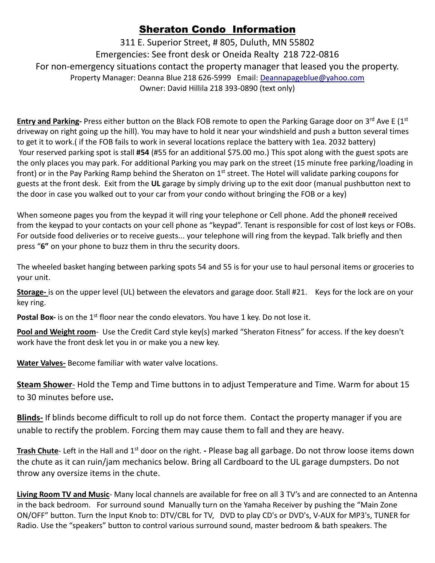## Sheraton Condo Information

311 E. Superior Street, # 805, Duluth, MN 55802 Emergencies: See front desk or Oneida Realty 218 722-0816 For non-emergency situations contact the property manager that leased you the property. Property Manager: Deanna Blue 218 626-5999 Email: [Deannapageblue@yahoo.com](mailto:Deannapageblue@yahoo.com) Owner: David Hillila 218 393-0890 (text only)

**Entry and Parking-** Press either button on the Black FOB remote to open the Parking Garage door on 3<sup>rd</sup> Ave E (1<sup>st</sup>) driveway on right going up the hill). You may have to hold it near your windshield and push a button several times to get it to work.( if the FOB fails to work in several locations replace the battery with 1ea. 2032 battery) Your reserved parking spot is stall **#54** (#55 for an additional \$75.00 mo.) This spot along with the guest spots are the only places you may park. For additional Parking you may park on the street (15 minute free parking/loading in front) or in the Pay Parking Ramp behind the Sheraton on 1<sup>st</sup> street. The Hotel will validate parking coupons for guests at the front desk. Exit from the **UL** garage by simply driving up to the exit door (manual pushbutton next to the door in case you walked out to your car from your condo without bringing the FOB or a key)

When someone pages you from the keypad it will ring your telephone or Cell phone. Add the phone# received from the keypad to your contacts on your cell phone as "keypad". Tenant is responsible for cost of lost keys or FOBs. For outside food deliveries or to receive guests... your telephone will ring from the keypad. Talk briefly and then press "**6"** on your phone to buzz them in thru the security doors.

The wheeled basket hanging between parking spots 54 and 55 is for your use to haul personal items or groceries to your unit.

**Storage-** is on the upper level (UL) between the elevators and garage door. Stall #21. Keys for the lock are on your key ring.

**Postal Box-** is on the 1<sup>st</sup> floor near the condo elevators. You have 1 key. Do not lose it.

**Pool and Weight room**- Use the Credit Card style key(s) marked "Sheraton Fitness" for access. If the key doesn't work have the front desk let you in or make you a new key.

**Water Valves-** Become familiar with water valve locations.

**Steam Shower**- Hold the Temp and Time buttons in to adjust Temperature and Time. Warm for about 15 to 30 minutes before use**.**

**Blinds-** If blinds become difficult to roll up do not force them. Contact the property manager if you are unable to rectify the problem. Forcing them may cause them to fall and they are heavy.

**Trash Chute**- Left in the Hall and 1<sup>st</sup> door on the right. - Please bag all garbage. Do not throw loose items down the chute as it can ruin/jam mechanics below. Bring all Cardboard to the UL garage dumpsters. Do not throw any oversize items in the chute.

**Living Room TV and Music**- Many local channels are available for free on all 3 TV's and are connected to an Antenna in the back bedroom. For surround sound Manually turn on the Yamaha Receiver by pushing the "Main Zone ON/OFF" button. Turn the Input Knob to: DTV/CBL for TV, DVD to play CD's or DVD's, V-AUX for MP3's, TUNER for Radio. Use the "speakers" button to control various surround sound, master bedroom & bath speakers. The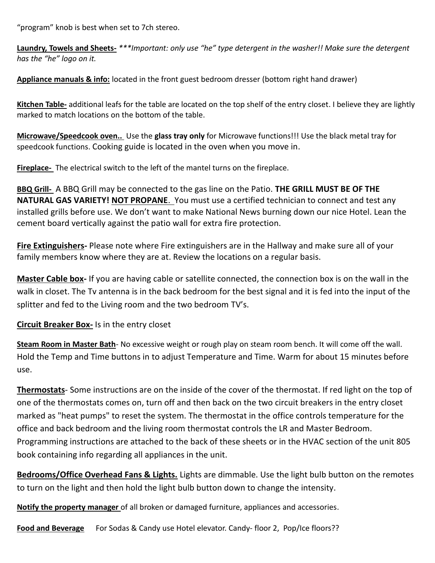"program" knob is best when set to 7ch stereo.

**Laundry, Towels and Sheets-** *\*\*\*Important: only use "he" type detergent in the washer!! Make sure the detergent has the "he" logo on it.* 

**Appliance manuals & info:** located in the front guest bedroom dresser (bottom right hand drawer)

**Kitchen Table-** additional leafs for the table are located on the top shelf of the entry closet. I believe they are lightly marked to match locations on the bottom of the table.

**Microwave/Speedcook oven..** Use the **glass tray only** for Microwave functions!!! Use the black metal tray for speedcook functions. Cooking guide is located in the oven when you move in.

**Fireplace-** The electrical switch to the left of the mantel turns on the fireplace.

**BBQ Grill-** A BBQ Grill may be connected to the gas line on the Patio. **THE GRILL MUST BE OF THE NATURAL GAS VARIETY! NOT PROPANE**. You must use a certified technician to connect and test any installed grills before use. We don't want to make National News burning down our nice Hotel. Lean the cement board vertically against the patio wall for extra fire protection.

**Fire Extinguishers-** Please note where Fire extinguishers are in the Hallway and make sure all of your family members know where they are at. Review the locations on a regular basis.

**Master Cable box-** If you are having cable or satellite connected, the connection box is on the wall in the walk in closet. The Tv antenna is in the back bedroom for the best signal and it is fed into the input of the splitter and fed to the Living room and the two bedroom TV's.

**Circuit Breaker Box-** Is in the entry closet

**Steam Room in Master Bath**- No excessive weight or rough play on steam room bench. It will come off the wall. Hold the Temp and Time buttons in to adjust Temperature and Time. Warm for about 15 minutes before use.

**Thermostats**- Some instructions are on the inside of the cover of the thermostat. If red light on the top of one of the thermostats comes on, turn off and then back on the two circuit breakers in the entry closet marked as "heat pumps" to reset the system. The thermostat in the office controls temperature for the office and back bedroom and the living room thermostat controls the LR and Master Bedroom. Programming instructions are attached to the back of these sheets or in the HVAC section of the unit 805 book containing info regarding all appliances in the unit.

**Bedrooms/Office Overhead Fans & Lights.** Lights are dimmable. Use the light bulb button on the remotes to turn on the light and then hold the light bulb button down to change the intensity.

**Notify the property manager** of all broken or damaged furniture, appliances and accessories.

**Food and Beverage** For Sodas & Candy use Hotel elevator. Candy- floor 2, Pop/Ice floors??